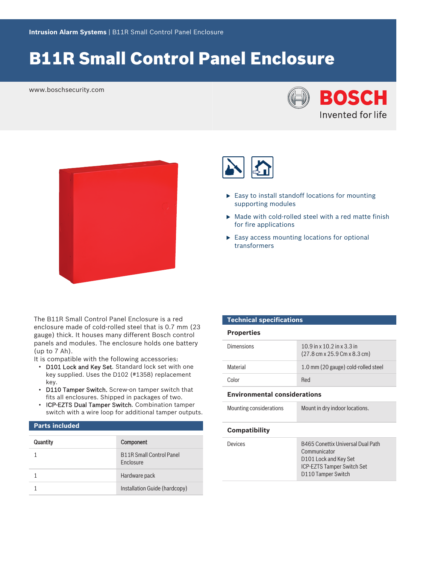# B11R Small Control Panel Enclosure

www.boschsecurity.com







- $\blacktriangleright$  Easy to install standoff locations for mounting supporting modules
- $\blacktriangleright$  Made with cold-rolled steel with a red matte finish for fire applications
- $\blacktriangleright$  Easy access mounting locations for optional transformers

The B11R Small Control Panel Enclosure is a red enclosure made of cold-rolled steel that is 0.7 mm (23 gauge) thick. It houses many different Bosch control panels and modules. The enclosure holds one battery (up to 7 Ah).

It is compatible with the following accessories:

- D101 Lock and Key Set. Standard lock set with one key supplied. Uses the D102 (#1358) replacement key.
- D110 Tamper Switch. Screw-on tamper switch that fits all enclosures. Shipped in packages of two.
- ICP-EZTS Dual Tamper Switch. Combination tamper switch with a wire loop for additional tamper outputs.

### **Parts included**

| Quantity | Component                                           |
|----------|-----------------------------------------------------|
|          | <b>B11R Small Control Panel</b><br><b>Fnclosure</b> |
|          | Hardware pack                                       |
|          | Installation Guide (hardcopy)                       |

#### **Technical specifications**

#### **Properties**

| Dimensions | 10.9 in x 10.2 in x 3.3 in<br>$(27.8 \text{ cm} \times 25.9 \text{ cm} \times 8.3 \text{ cm})$ |
|------------|------------------------------------------------------------------------------------------------|
| Material   | 1.0 mm (20 gauge) cold-rolled steel                                                            |
| Color      | Red                                                                                            |

#### **Environmental considerations**

| Mounting considerations | Mount in dry indoor locations. |
|-------------------------|--------------------------------|
|                         |                                |

#### **Compatibility**

| Devices | <b>B465 Conettix Universal Dual Path</b> |
|---------|------------------------------------------|
|         | Communicator                             |
|         | D101 Lock and Key Set                    |
|         | <b>ICP-EZTS Tamper Switch Set</b>        |
|         | D110 Tamper Switch                       |
|         |                                          |